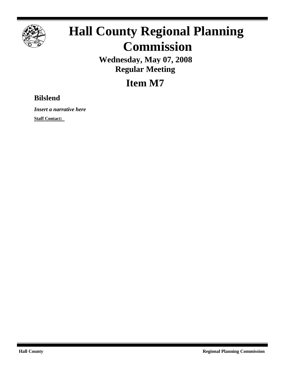

## **Hall County Regional Planning Commission**

**Wednesday, May 07, 2008 Regular Meeting**

**Item M7**

## **Bilslend**

*Insert a narrative here*

**Staff Contact:**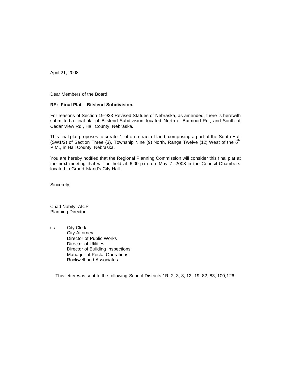April 21, 2008

Dear Members of the Board:

## **RE: Final Plat – Bilslend Subdivision.**

For reasons of Section 19-923 Revised Statues of Nebraska, as amended, there is herewith submitted a final plat of Bilslend Subdivision, located North of Burmood Rd., and South of Cedar View Rd., Hall County, Nebraska.

This final plat proposes to create 1 lot on a tract of land, comprising a part of the South Half (SW1/2) of Section Three (3), Township Nine (9) North, Range Twelve (12) West of the  $6<sup>th</sup>$ . P.M., in Hall County, Nebraska.

You are hereby notified that the Regional Planning Commission will consider this final plat at the next meeting that will be held at 6:00 p.m. on May 7, 2008 in the Council Chambers located in Grand Island's City Hall.

Sincerely,

Chad Nabity, AICP Planning Director

cc: City Clerk City Attorney Director of Public Works Director of Utilities Director of Building Inspections Manager of Postal Operations Rockwell and Associates

This letter was sent to the following School Districts 1R, 2, 3, 8, 12, 19, 82, 83, 100,126.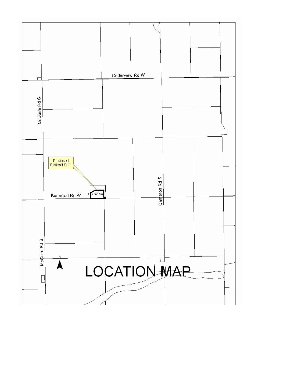